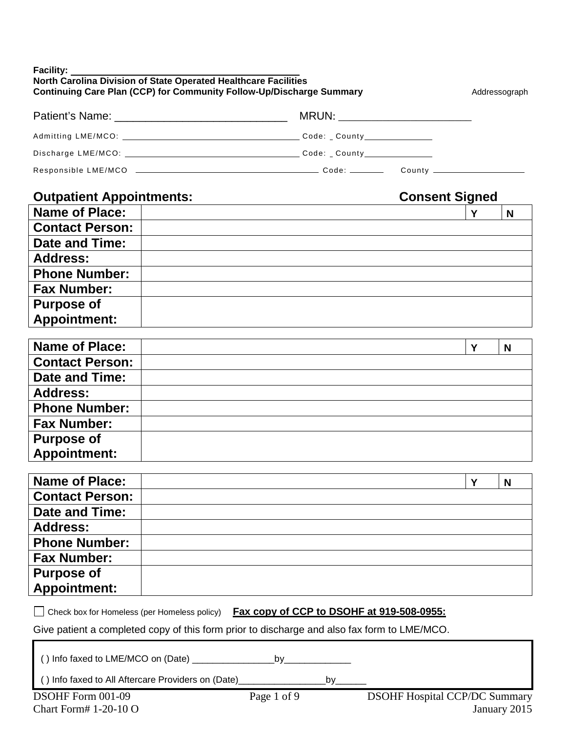| North Carolina Division of State Operated Healthcare Facilities<br><b>Continuing Care Plan (CCP) for Community Follow-Up/Discharge Summary</b><br>Addressograph |          |
|-----------------------------------------------------------------------------------------------------------------------------------------------------------------|----------|
|                                                                                                                                                                 |          |
|                                                                                                                                                                 |          |
|                                                                                                                                                                 |          |
|                                                                                                                                                                 |          |
| <b>Consent Signed</b><br><b>Outpatient Appointments:</b>                                                                                                        |          |
| <b>Name of Place:</b><br>Y                                                                                                                                      | N        |
| <b>Contact Person:</b>                                                                                                                                          |          |
| <b>Date and Time:</b>                                                                                                                                           |          |
| <b>Address:</b>                                                                                                                                                 |          |
| <b>Phone Number:</b>                                                                                                                                            |          |
| <b>Fax Number:</b>                                                                                                                                              |          |
| <b>Purpose of</b>                                                                                                                                               |          |
| <b>Appointment:</b>                                                                                                                                             |          |
|                                                                                                                                                                 |          |
| <b>Name of Place:</b><br>Y                                                                                                                                      | <b>N</b> |
| <b>Contact Person:</b>                                                                                                                                          |          |
| Date and Time:                                                                                                                                                  |          |
| <b>Address:</b>                                                                                                                                                 |          |
| <b>Phone Number:</b>                                                                                                                                            |          |
| <b>Fax Number:</b>                                                                                                                                              |          |
| <b>Purpose of</b>                                                                                                                                               |          |
| <b>Appointment:</b>                                                                                                                                             |          |
| <b>Name of Place:</b><br>Y                                                                                                                                      | N        |
| <b>Contact Person:</b>                                                                                                                                          |          |
| Date and Time:                                                                                                                                                  |          |
| <b>Address:</b>                                                                                                                                                 |          |
| <b>Phone Number:</b>                                                                                                                                            |          |
| <b>Fax Number:</b>                                                                                                                                              |          |
| <b>Purpose of</b>                                                                                                                                               |          |
| <b>Appointment:</b>                                                                                                                                             |          |
| Fax copy of CCP to DSOHF at 919-508-0955:<br>Check box for Homeless (per Homeless policy)                                                                       |          |
| Give patient a completed copy of this form prior to discharge and also fax form to LME/MCO.                                                                     |          |
|                                                                                                                                                                 |          |
| () Info faxed to LME/MCO on (Date) ________________________by_                                                                                                  |          |
| () Info faxed to All Aftercare Providers on (Date)_<br>by_                                                                                                      |          |
| <b>DSOHF Hospital CCP/DC Summary</b><br>DSOHF Form 001-09<br>Page 1 of 9                                                                                        |          |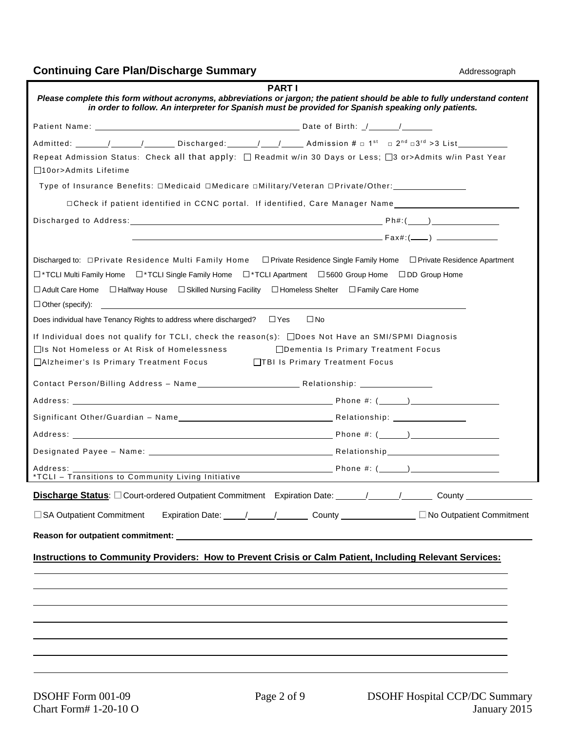| <b>PART I</b><br>Please complete this form without acronyms, abbreviations or jargon; the patient should be able to fully understand content<br>in order to follow. An interpreter for Spanish must be provided for Spanish speaking only patients.                                                                                                                                   |                                               |  |  |
|---------------------------------------------------------------------------------------------------------------------------------------------------------------------------------------------------------------------------------------------------------------------------------------------------------------------------------------------------------------------------------------|-----------------------------------------------|--|--|
|                                                                                                                                                                                                                                                                                                                                                                                       |                                               |  |  |
|                                                                                                                                                                                                                                                                                                                                                                                       |                                               |  |  |
| Repeat Admission Status: Check all that apply: □ Readmit w/in 30 Days or Less; □3 or>Admits w/in Past Year                                                                                                                                                                                                                                                                            |                                               |  |  |
| □10or>Admits Lifetime                                                                                                                                                                                                                                                                                                                                                                 |                                               |  |  |
| Type of Insurance Benefits: □Medicaid □Medicare □Military/Veteran □Private/Other: _________________                                                                                                                                                                                                                                                                                   |                                               |  |  |
|                                                                                                                                                                                                                                                                                                                                                                                       |                                               |  |  |
|                                                                                                                                                                                                                                                                                                                                                                                       |                                               |  |  |
|                                                                                                                                                                                                                                                                                                                                                                                       |                                               |  |  |
| Discharged to: □Private Residence Multi Family Home □Private Residence Single Family Home □Private Residence Apartment<br>□*TCLI Multi Family Home □*TCLI Single Family Home □*TCLI Apartment □5600 Group Home □DD Group Home<br>$\Box$ Adult Care Home $\Box$ Halfway House $\Box$ Skilled Nursing Facility $\Box$ Homeless Shelter<br>□ Family Care Home<br>$\Box$ Other (specify): |                                               |  |  |
| Does individual have Tenancy Rights to address where discharged? $\square$ Yes<br>$\square$ No                                                                                                                                                                                                                                                                                        |                                               |  |  |
| If Individual does not qualify for TCLI, check the reason(s): $\Box$ Does Not Have an SMI/SPMI Diagnosis<br>□Is Not Homeless or At Risk of Homelessness<br>□Alzheimer's Is Primary Treatment Focus<br>□TBI Is Primary Treatment Focus                                                                                                                                                 | □Dementia Is Primary Treatment Focus          |  |  |
|                                                                                                                                                                                                                                                                                                                                                                                       |                                               |  |  |
|                                                                                                                                                                                                                                                                                                                                                                                       |                                               |  |  |
|                                                                                                                                                                                                                                                                                                                                                                                       |                                               |  |  |
|                                                                                                                                                                                                                                                                                                                                                                                       |                                               |  |  |
|                                                                                                                                                                                                                                                                                                                                                                                       |                                               |  |  |
| Address: Andreas Address Address and Address and Address and Address and Address and Address and Address and A                                                                                                                                                                                                                                                                        |                                               |  |  |
| *TCLI - Transitions to Community Living Initiative                                                                                                                                                                                                                                                                                                                                    |                                               |  |  |
|                                                                                                                                                                                                                                                                                                                                                                                       |                                               |  |  |
| □ SA Outpatient Commitment                                                                                                                                                                                                                                                                                                                                                            | Expiration Date: 11 100 Outpatient Commitment |  |  |
|                                                                                                                                                                                                                                                                                                                                                                                       |                                               |  |  |
| <b>Instructions to Community Providers: How to Prevent Crisis or Calm Patient, Including Relevant Services:</b>                                                                                                                                                                                                                                                                       |                                               |  |  |
|                                                                                                                                                                                                                                                                                                                                                                                       |                                               |  |  |
|                                                                                                                                                                                                                                                                                                                                                                                       |                                               |  |  |
|                                                                                                                                                                                                                                                                                                                                                                                       |                                               |  |  |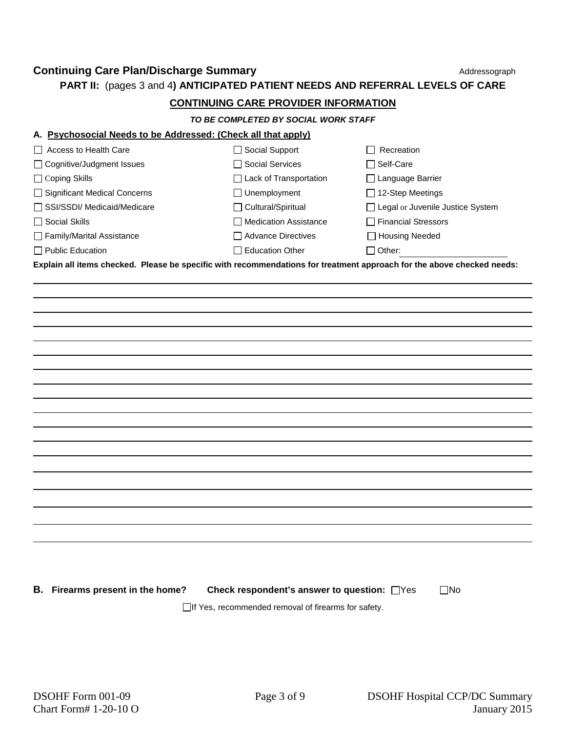**PART II:** (pages 3 and 4**) ANTICIPATED PATIENT NEEDS AND REFERRAL LEVELS OF CARE**

### **CONTINUING CARE PROVIDER INFORMATION**

*TO BE COMPLETED BY SOCIAL WORK STAFF*

#### **A. Psychosocial Needs to be Addressed: (Check all that apply)**

| $\Box$ Access to Health Care | □ Social Support              | Recreation                              |
|------------------------------|-------------------------------|-----------------------------------------|
| □ Cognitive/Judgment Issues  | □ Social Services             | $\sqcap$ Self-Care                      |
| $\Box$ Coping Skills         | $\Box$ Lack of Transportation | $\Box$ Language Barrier                 |
| Significant Medical Concerns | $\Box$ Unemployment           | $\Box$ 12-Step Meetings                 |
| SSI/SSDI/ Medicaid/Medicare  | $\Box$ Cultural/Spiritual     | $\Box$ Legal or Juvenile Justice System |
| $\Box$ Social Skills         | □ Medication Assistance       | <b>□ Financial Stressors</b>            |
| Family/Marital Assistance    | Advance Directives            | □ Housing Needed                        |
| $\Box$ Public Education      | □ Education Other             | $\Box$ Other:                           |
|                              |                               |                                         |

**Explain all items checked. Please be specific with recommendations for treatment approach for the above checked needs:**

**B.** Firearms present in the home? Check respondent's answer to question:  $\Box$ Yes  $\Box$ No

 $\Box$ If Yes, recommended removal of firearms for safety.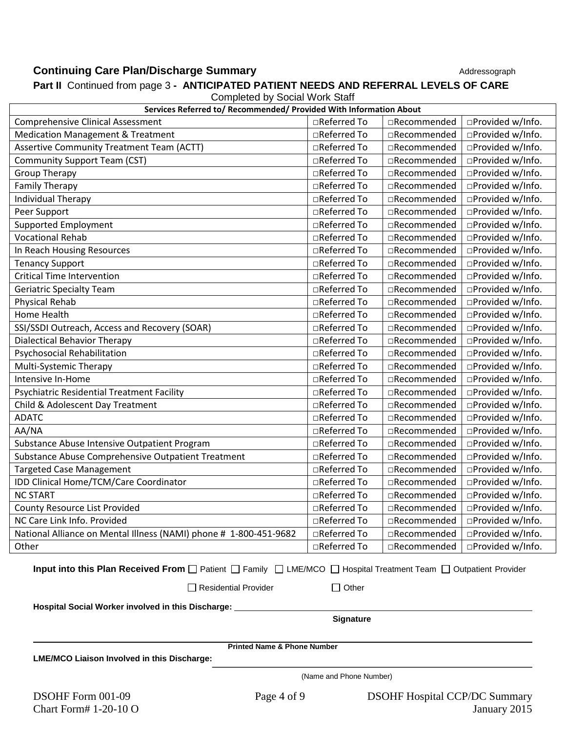# **Continuing Care Plan/Discharge Summary** Addressograph<br> **Port II.** Continued from pose 2. ANTICIPATED BATIENT NEEDS AND BEFERRAL LEVELS OF CARE

| <b>Part II</b> Continued from page 3 - ANTICIPATED PATIENT NEEDS AND REFERRAL LEVELS OF CARE<br><b>Completed by Social Work Staff</b>                                                   |              |              |                   |
|-----------------------------------------------------------------------------------------------------------------------------------------------------------------------------------------|--------------|--------------|-------------------|
| Services Referred to/ Recommended/ Provided With Information About                                                                                                                      |              |              |                   |
| <b>Comprehensive Clinical Assessment</b>                                                                                                                                                | □Referred To | □Recommended | □Provided w/Info. |
| <b>Medication Management &amp; Treatment</b>                                                                                                                                            | □Referred To | □Recommended | □Provided w/Info. |
| Assertive Community Treatment Team (ACTT)                                                                                                                                               | □Referred To | □Recommended | □Provided w/Info. |
| <b>Community Support Team (CST)</b>                                                                                                                                                     | □Referred To | □Recommended | □Provided w/Info. |
| <b>Group Therapy</b>                                                                                                                                                                    | □Referred To | □Recommended | □Provided w/Info. |
| <b>Family Therapy</b>                                                                                                                                                                   | □Referred To | □Recommended | □Provided w/Info. |
| Individual Therapy                                                                                                                                                                      | □Referred To | □Recommended | □Provided w/Info. |
| Peer Support                                                                                                                                                                            | □Referred To | □Recommended | □Provided w/Info. |
| <b>Supported Employment</b>                                                                                                                                                             | □Referred To | □Recommended | □Provided w/Info. |
| <b>Vocational Rehab</b>                                                                                                                                                                 | □Referred To | □Recommended | □Provided w/Info. |
| In Reach Housing Resources                                                                                                                                                              | □Referred To | □Recommended | □Provided w/Info. |
| <b>Tenancy Support</b>                                                                                                                                                                  | □Referred To | □Recommended | □Provided w/Info. |
| <b>Critical Time Intervention</b>                                                                                                                                                       | □Referred To | □Recommended | □Provided w/Info. |
| <b>Geriatric Specialty Team</b>                                                                                                                                                         | □Referred To | □Recommended | □Provided w/Info. |
| <b>Physical Rehab</b>                                                                                                                                                                   | □Referred To | □Recommended | □Provided w/Info. |
| Home Health                                                                                                                                                                             | □Referred To | □Recommended | □Provided w/Info. |
| SSI/SSDI Outreach, Access and Recovery (SOAR)                                                                                                                                           | □Referred To | □Recommended | □Provided w/Info. |
| <b>Dialectical Behavior Therapy</b>                                                                                                                                                     | □Referred To | □Recommended | □Provided w/Info. |
| Psychosocial Rehabilitation                                                                                                                                                             | □Referred To | □Recommended | □Provided w/Info. |
| Multi-Systemic Therapy                                                                                                                                                                  | □Referred To | □Recommended | □Provided w/Info. |
| Intensive In-Home                                                                                                                                                                       | □Referred To | □Recommended | □Provided w/Info. |
| Psychiatric Residential Treatment Facility                                                                                                                                              | □Referred To | □Recommended | □Provided w/Info. |
| Child & Adolescent Day Treatment                                                                                                                                                        | □Referred To | □Recommended | □Provided w/Info. |
| <b>ADATC</b>                                                                                                                                                                            | □Referred To | □Recommended | □Provided w/Info. |
| AA/NA                                                                                                                                                                                   | □Referred To | □Recommended | □Provided w/Info. |
| Substance Abuse Intensive Outpatient Program                                                                                                                                            | □Referred To | □Recommended | □Provided w/Info. |
| Substance Abuse Comprehensive Outpatient Treatment                                                                                                                                      | □Referred To | □Recommended | □Provided w/Info. |
| <b>Targeted Case Management</b>                                                                                                                                                         | □Referred To | □Recommended | □Provided w/Info. |
| IDD Clinical Home/TCM/Care Coordinator                                                                                                                                                  | □Referred To | □Recommended | □Provided w/Info. |
| <b>NC START</b>                                                                                                                                                                         | □Referred To | □Recommended | □Provided w/Info. |
| <b>County Resource List Provided</b>                                                                                                                                                    | □Referred To | □Recommended | □Provided w/Info. |
| NC Care Link Info. Provided                                                                                                                                                             | □Referred To | □Recommended | □Provided w/Info. |
| National Alliance on Mental Illness (NAMI) phone # 1-800-451-9682                                                                                                                       | □Referred To | □Recommended | □Provided w/Info. |
| Other                                                                                                                                                                                   | □Referred To | □Recommended | □Provided w/Info. |
| Input into this Plan Received From $\Box$ Patient $\Box$ Family $\Box$ LME/MCO $\Box$ Hospital Treatment Team $\Box$ Outpatient Provider<br>$\Box$ Residential Provider<br>$\Box$ Other |              |              |                   |

**Part II** Continued from page 3 **- ANTICIPATED PATIENT NEEDS AND REFERRAL LEVELS OF CARE**

**Hospital Social Worker involved in this Discharge:**

**Signature**

**Printed Name & Phone Number**

**LME/MCO Liaison Involved in this Discharge:**

(Name and Phone Number)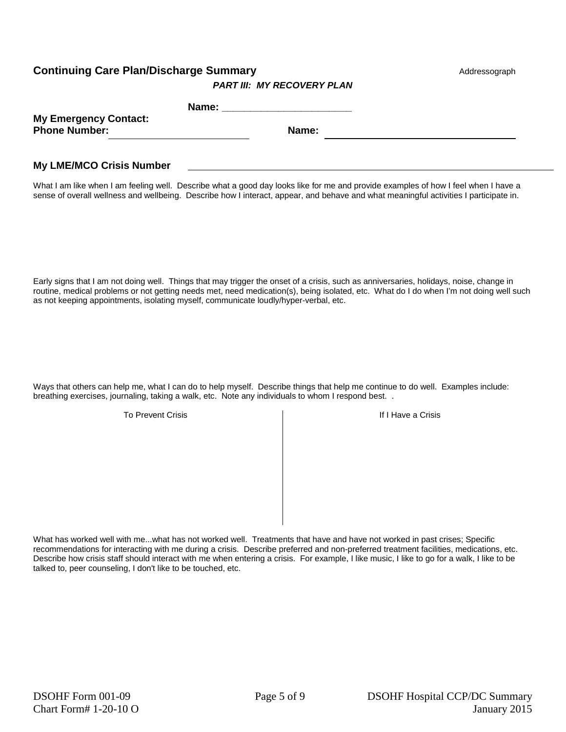*PART III: MY RECOVERY PLAN*

| <b>My Emergency Contact:</b><br><b>Phone Number:</b><br>Name: |
|---------------------------------------------------------------|

### **My LME/MCO Crisis Number**

What I am like when I am feeling well. Describe what a good day looks like for me and provide examples of how I feel when I have a sense of overall wellness and wellbeing. Describe how I interact, appear, and behave and what meaningful activities I participate in.

Early signs that I am not doing well. Things that may trigger the onset of a crisis, such as anniversaries, holidays, noise, change in routine, medical problems or not getting needs met, need medication(s), being isolated, etc. What do I do when I'm not doing well such as not keeping appointments, isolating myself, communicate loudly/hyper-verbal, etc.

Ways that others can help me, what I can do to help myself. Describe things that help me continue to do well. Examples include: breathing exercises, journaling, taking a walk, etc. Note any individuals to whom I respond best. .

To Prevent Crisis **If I Have a Crisis** If I Have a Crisis

What has worked well with me...what has not worked well. Treatments that have and have not worked in past crises; Specific recommendations for interacting with me during a crisis. Describe preferred and non-preferred treatment facilities, medications, etc. Describe how crisis staff should interact with me when entering a crisis. For example, I like music, I like to go for a walk, I like to be talked to, peer counseling, I don't like to be touched, etc.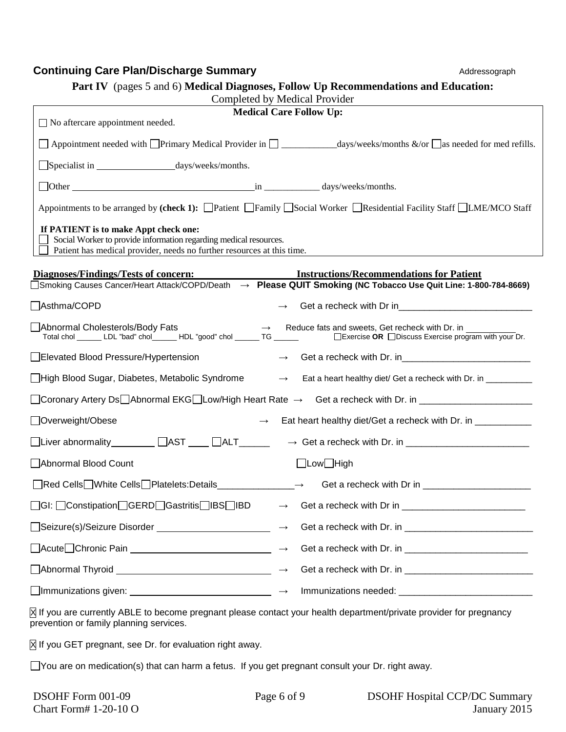| Part IV (pages 5 and 6) Medical Diagnoses, Follow Up Recommendations and Education:<br>Completed by Medical Provider                                                                 |                                |                                                                 |
|--------------------------------------------------------------------------------------------------------------------------------------------------------------------------------------|--------------------------------|-----------------------------------------------------------------|
|                                                                                                                                                                                      | <b>Medical Care Follow Up:</b> |                                                                 |
| $\Box$ No aftercare appointment needed.                                                                                                                                              |                                |                                                                 |
|                                                                                                                                                                                      |                                |                                                                 |
|                                                                                                                                                                                      |                                |                                                                 |
|                                                                                                                                                                                      |                                |                                                                 |
| Appointments to be arranged by (check 1): Patient Family Social Worker Residential Facility Staff LME/MCO Staff                                                                      |                                |                                                                 |
| If PATIENT is to make Appt check one:<br>Social Worker to provide information regarding medical resources.<br>Patient has medical provider, needs no further resources at this time. |                                |                                                                 |
| <b>Diagnoses/Findings/Tests of concern:</b>                                                                                                                                          |                                | <b>Instructions/Recommendations for Patient</b>                 |
| [Smoking Causes Cancer/Heart Attack/COPD/Death → Please QUIT Smoking (NC Tobacco Use Quit Line: 1-800-784-8669                                                                       |                                |                                                                 |
| Asthma/COPD                                                                                                                                                                          |                                |                                                                 |
| Abnormal Cholesterols/Body Fats                                                                                                                                                      | $\rightarrow$                  | Reduce fats and sweets, Get recheck with Dr. in                 |
| Elevated Blood Pressure/Hypertension                                                                                                                                                 | $\rightarrow$                  |                                                                 |
| □High Blood Sugar, Diabetes, Metabolic Syndrome                                                                                                                                      | $\longrightarrow$              | Eat a heart healthy diet/ Get a recheck with Dr. in ___________ |
| __Coronary Artery Ds__Abnormal EKG__Low/High Heart Rate $\;\rightarrow\;$ Get a recheck with Dr. in _____________________                                                            |                                |                                                                 |
| □Overweight/Obese                                                                                                                                                                    |                                | Eat heart healthy diet/Get a recheck with Dr. in ___________    |
| □Liver abnormality _______ □AST ___ □ALT _____                                                                                                                                       |                                |                                                                 |
| Abnormal Blood Count                                                                                                                                                                 |                                | □Low□High                                                       |
| □Red Cells White Cells Platelets: Details _____________→ Get a recheck with Dr in _________________                                                                                  |                                |                                                                 |
| OGI: ◯Constipation◯GERD◯Gastritis◯IBS◯IBD                                                                                                                                            | $\rightarrow$                  |                                                                 |
|                                                                                                                                                                                      | $\longrightarrow$              |                                                                 |
| □Acute□Chronic Pain <u>________________________________</u> →                                                                                                                        |                                |                                                                 |
|                                                                                                                                                                                      |                                |                                                                 |
|                                                                                                                                                                                      |                                |                                                                 |
| $\boxtimes$ If you are currently ABLE to become pregnant please contact your health department/private provider for pregnancy<br>prevention or family planning services.             |                                |                                                                 |
| $\boxtimes$ If you GET pregnant, see Dr. for evaluation right away.                                                                                                                  |                                |                                                                 |
| $\Box$ You are on medication(s) that can harm a fetus. If you get pregnant consult your Dr. right away.                                                                              |                                |                                                                 |
| DSOHF Form 001-09                                                                                                                                                                    | Page 6 of 9                    | <b>DSOHF Hospital CCP/DC Summary</b>                            |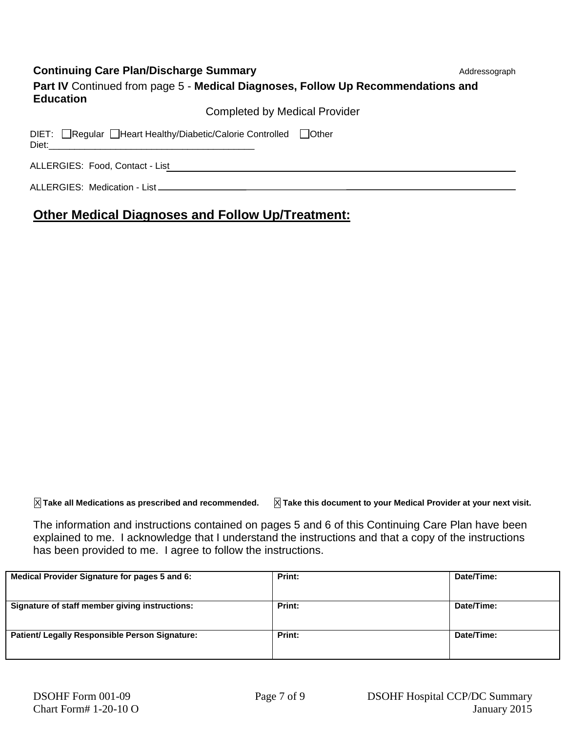|  |  | <b>Continuing Care Plan/Discharge Summary</b> |  |
|--|--|-----------------------------------------------|--|
|--|--|-----------------------------------------------|--|

Addressograph

| Part IV Continued from page 5 - Medical Diagnoses, Follow Up Recommendations and<br><b>Education</b> |
|------------------------------------------------------------------------------------------------------|
| Completed by Medical Provider                                                                        |

| DIET: Regular   Heart Healthy/Diabetic/Calorie Controlled   Other<br>Diet: |  |
|----------------------------------------------------------------------------|--|
| ALLERGIES: Food, Contact - List                                            |  |
| ALLERGIES: Medication - List_                                              |  |

# **Other Medical Diagnoses and Follow Up/Treatment:**

X **Take all Medications as prescribed and recommended.** X **Take this document to your Medical Provider at your next visit.**

The information and instructions contained on pages 5 and 6 of this Continuing Care Plan have been explained to me. I acknowledge that I understand the instructions and that a copy of the instructions has been provided to me. I agree to follow the instructions.

| Medical Provider Signature for pages 5 and 6:  | Print: | Date/Time: |
|------------------------------------------------|--------|------------|
| Signature of staff member giving instructions: | Print: | Date/Time: |
| Patient/ Legally Responsible Person Signature: | Print: | Date/Time: |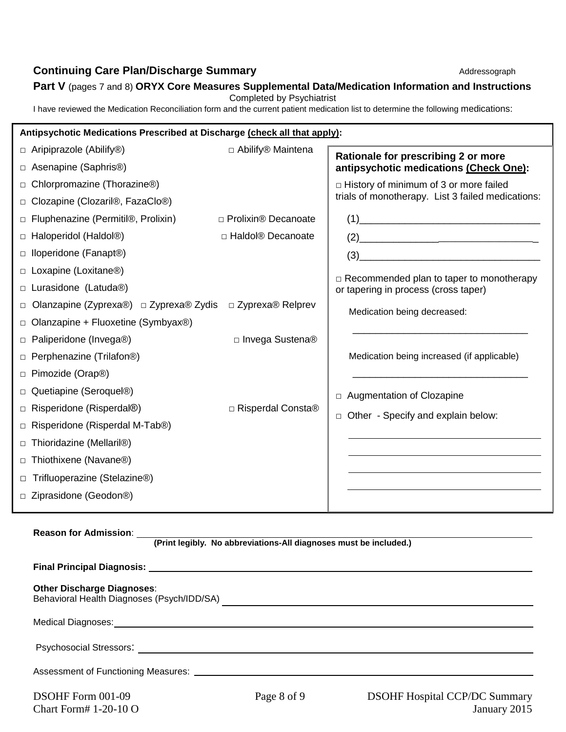# **Part V** (pages 7 and 8) **ORYX Core Measures Supplemental Data/Medication Information and Instructions**

Completed by Psychiatrist

I have reviewed the Medication Reconciliation form and the current patient medication list to determine the following medications:

| Antipsychotic Medications Prescribed at Discharge (check all that apply): |                       |                                                      |  |
|---------------------------------------------------------------------------|-----------------------|------------------------------------------------------|--|
| $\Box$ Aripiprazole (Abilify®)                                            | □ Abilify® Maintena   | Rationale for prescribing 2 or more                  |  |
| □ Asenapine (Saphris <sup>®)</sup>                                        |                       | antipsychotic medications (Check One):               |  |
| $\Box$ Chlorpromazine (Thorazine®)                                        |                       | $\Box$ History of minimum of 3 or more failed        |  |
| □ Clozapine (Clozaril®, FazaClo®)                                         |                       | trials of monotherapy. List 3 failed medications:    |  |
| $\Box$ Fluphenazine (Permitil®, Prolixin)                                 | □ Prolixin® Decanoate | $(1) \qquad \qquad \overbrace{\qquad \qquad }$       |  |
| $\Box$ Haloperidol (Haldol®)                                              | □ Haldol® Decanoate   | $(2) \qquad \qquad \overbrace{\qquad \qquad }^{(2)}$ |  |
| $\Box$ Iloperidone (Fanapt®)                                              |                       | $(3) \qquad \qquad \overbrace{\qquad \qquad }$       |  |
| $\Box$ Loxapine (Loxitane®)                                               |                       | $\Box$ Recommended plan to taper to monotherapy      |  |
| □ Lurasidone (Latuda®)                                                    |                       | or tapering in process (cross taper)                 |  |
| Olanzapine (Zyprexa®) □ Zyprexa® Zydis □ Zyprexa® Relprev                 |                       | Medication being decreased:                          |  |
| $\Box$ Olanzapine + Fluoxetine (Symbyax®)                                 |                       |                                                      |  |
| □ Paliperidone (Invega®)                                                  | □ Invega Sustena®     |                                                      |  |
| □ Perphenazine (Trilafon®)                                                |                       | Medication being increased (if applicable)           |  |
| □ Pimozide (Orap®)                                                        |                       |                                                      |  |
| Quetiapine (Seroquel®)                                                    |                       | □ Augmentation of Clozapine                          |  |
| □ Risperidone (Risperdal®)                                                | □ Risperdal Consta®   | Other - Specify and explain below:                   |  |
| Risperidone (Risperdal M-Tab®)<br>$\Box$                                  |                       |                                                      |  |
| □ Thioridazine (Mellaril®)                                                |                       |                                                      |  |
| □ Thiothixene (Navane®)                                                   |                       |                                                      |  |
| Trifluoperazine (Stelazine®)                                              |                       |                                                      |  |
| Ziprasidone (Geodon®)                                                     |                       |                                                      |  |
|                                                                           |                       |                                                      |  |

### **Reason for Admission**:

**(Print legibly. No abbreviations-All diagnoses must be included.)**

| <b>Other Discharge Diagnoses:</b> |             |                                      |  |
|-----------------------------------|-------------|--------------------------------------|--|
|                                   |             |                                      |  |
|                                   |             |                                      |  |
|                                   |             |                                      |  |
| DSOHF Form 001-09                 | Page 8 of 9 | <b>DSOHF Hospital CCP/DC Summary</b> |  |